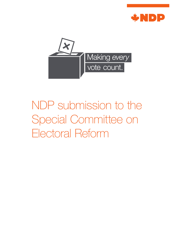



# NDP submission to the Special Committee on Electoral Reform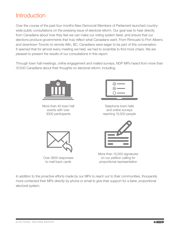## **Introduction**

Over the course of the past four months New Democrat Members of Parliament launched countrywide public consultations on the pressing issue of electoral reform. Our goal was to hear directly from Canadians about how they feel we can make our voting system fairer, and ensure that our elections produce governments that truly reflect what Canadians want. From Rimouski to Port Alberni, and downtown Toronto to remote Atlin, BC, Canadians were eager to be part of this conversation. It seemed that for almost every meeting we held, we had to scramble to find more chairs. We are pleased to present the results of our consultations in this report.

Through town hall meetings, online engagement and mailed surveys, NDP MPs heard from more than 37,000 Canadians about their thoughts on electoral reform, including:



More than 40 town hall events with over 3000 participants



Telephone town halls and online surveys reaching 12,500 people



Over 2600 responses to mail back cards

More than 15,000 signatures on our petition calling for proportional representation

In addition to the proactive efforts made by our MPs to reach out to their communities, thousands more contacted their MPs directly by phone or email to give their support for a fairer, proportional electoral system.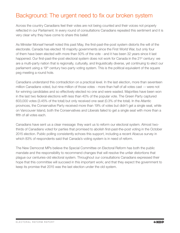## Background: The urgent need to fix our broken system

Across the country Canadians feel their votes are not being counted and their voices not properly reflected in our Parliament. In every round of consultations Canadians repeated this sentiment and it is very clear why they have come to share this belief.

As Minister Monsef herself noted this past May, the first-past-the-post system distorts the will of the electorate. Canada has elected 18 majority governments since the First World War, but only four of them have been elected with more than 50% of the vote - and it has been 32 years since it last happened. Our first-past-the-post electoral system does not work for Canada in the 21<sup>st</sup> century: we are a multi-party nation that is regionally, culturally, and linguistically diverse, yet continuing to elect our parliament using a 19<sup>th</sup> century two-party voting system. This is the political equivalent of the square peg meeting a round hole.

Canadians understand this contradiction on a practical level. In the last election, more than seventeen million Canadians voted, but nine million of those votes - more than half of all votes cast -– were not for winning candidates and so effectively elected no one and were wasted. Majorities have been won in the last two federal elections with less than 40% of the popular vote. The Green Party captured 603,000 votes (3.45% of the total) but only received one seat (0.3% of the total). In the Atlantic provinces, the Conservative Party received more than 19% of votes but didn't get a single seat, while on Vancouver Island, both the Conservatives and Liberals failed to get a single seat with more than a fifth of all votes each.

Canadians have sent us a clear message: they want us to reform our electoral system. Almost twothirds of Canadians voted for parties that promised to abolish first-past-the-post voting in the October 2015 election. Public polling consistently echoes this support, including a recent Abacus survey in which 83% of respondents said that Canada's voting system is in need of reform.

The New Democrat MPs believe the Special Committee on Electoral Reform has both the public mandate and the responsibility to recommend changes that will resolve the unfair distortions that plague our centuries-old electoral system. Throughout our consultations Canadians expressed their hope that this committee will succeed in this important work; and that they expect the government to keep its promise that 2015 was the last election under the old system.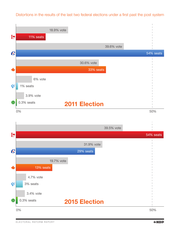### Distortions in the results of the last two federal elections under a first past the post system

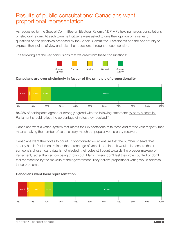## Results of public consultations: Canadians want proportional representation

As requested by the Special Committee on Electoral Reform, NDP MPs held numerous consultations on electoral reform. At each town hall, citizens were asked to give their opinion on a series of questions on the principles proposed by the Special Committee. Participants had the opportunity to express their points of view and raise their questions throughout each session.

The following are the key conclusions that we drew from these consultations:



#### Canadians are overwhelmingly in favour of the principle of proportionality



84.3% of participants agreed or strongly agreed with the following statement: "A party's seats in Parliament should reflect the percentage of votes they received."

Canadians want a voting system that meets their expectations of fairness and for the vast majority that means making the number of seats closely match the popular vote a party receives.

Canadians want their votes to count. Proportionality would ensure that the number of seats that a party has in Parliament reflects the percentage of votes it obtained. It would also ensure that if someone's chosen candidate is not elected, their votes still count towards the broader makeup of Parliament, rather than simply being thrown out. Many citizens don't feel their vote counted or don't feel represented by the makeup of their government. They believe proportional voting would address these problems.



#### Canadians want local representation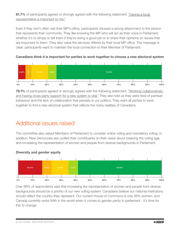81.7% of participants agreed or strongly agreed with the following statement: "Having a local representative is important to me."

Even if they don't often visit their MP's office, participants showed a strong attachment to the person that represents their community. They like knowing the MP who will act as their voice in Parliament, whether it's to simply to tell them if they're doing a good job or to share their opinions on issues that are important to them. They also value the services offered by their local MP office. The message is clear: participants want to maintain the local connection to their Member of Parliament.



Canadians think it is important for parties to work together to choose a new electoral system

79.1% of participants agreed or strongly agreed with the following statement: "Working collaboratively and having cross-party support for a new system is vital." They also told us they were tired of partisan behaviour and the lack of collaboration that persists in our politics. They want all parties to work together to find a new electoral system that reflects the many realities of Canadians.

## Additional issues raised

The committee also asked Members of Parliament to consider online voting and mandatory voting. In addition, New Democrats also polled their constituents on their views about lowering the voting age, and increasing the representation of women and people from diverse backgrounds in Parliament.





Over 66% of respondents said that increasing the representation of women and people from diverse backgrounds should be a priority of our new voting system. Canadians believe our national institutions should reflect the country they represent. Our current House of Commons is only 26% women, and Canada currently ranks 64th in the world when it comes to gender parity in parliament - it's time for this to change.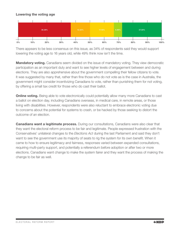#### Lowering the voting age



There appears to be less consensus on this issue, as 34% of respondents said they would support lowering the voting age to 16 years old, while 49% think now isn't the time.

**Mandatory voting.** Canadians seem divided on the issue of mandatory voting. They view democratic participation as an important duty and want to see higher levels of engagement between and during elections. They are also apprehensive about the government compelling their fellow citizens to vote. It was suggested by many that, rather than fine those who do not vote as is the case in Australia, the government might consider incentivizing Canadians to vote, rather than punishing them for not voting, by offering a small tax credit for those who do cast their ballot.

**Online voting.** Being able to vote electronically could potentially allow many more Canadians to cast a ballot on election day, including Canadians overseas, in medical care, in remote areas, or those living with disabilities. However, respondents were also reluctant to embrace electronic voting due to concerns about the potential for systems to crash, or be hacked by those seeking to distort the outcome of an election.

**Canadians want a legitimate process.** During our consultations, Canadians were also clear that they want the electoral reform process to be fair and legitimate. People expressed frustration with the Conservatives' unilateral changes to the *Elections Act* during the last Parliament and said they don't want to see the government use its majority of seats to rig the system for its own benefit. When it came to how to ensure legitimacy and fairness, responses varied between expanded consultations, requiring multi-party support, and potentially a referendum before adoption or after two or more elections. Canadians want change to make the system fairer and they want the process of making the change to be fair as well.